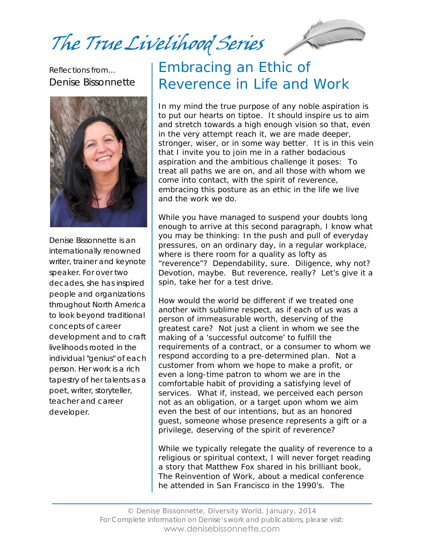The True Livelihood Series

Reflections from… Denise Bissonnette



Denise Bissonnette is an internationally renowned writer, trainer and keynote speaker. For over two decades, she has inspired people and organizations throughout North America to look beyond traditional concepts of career development and to craft livelihoods rooted in the individual "genius" of each person. Her work is a rich tapestry of her talents as a poet, writer, storyteller, teacher and career developer.

# Embracing an Ethic of Reverence in Life and Work

In my mind the true purpose of any noble aspiration is to put our hearts on tiptoe. It should inspire us to aim and stretch towards a high enough vision so that, even in the very attempt reach it, we are made deeper, stronger, wiser, or in some way better. It is in this vein that I invite you to join me in a rather bodacious aspiration and the ambitious challenge it poses: *To treat all paths we are on, and all those with whom we come into contact, with the spirit of reverence, embracing this posture as an ethic in the life we live and the work we do.*

While you have managed to suspend your doubts long enough to arrive at this second paragraph, I know what you may be thinking: In the push and pull of everyday pressures, on an ordinary day, in a regular workplace, where is there room for a quality as lofty as "reverence"? Dependability, sure. Diligence, why not? Devotion, maybe. But reverence, really? Let's give it a spin, take her for a test drive.

How would the world be different if we treated one another with sublime respect, as if each of us was a person of immeasurable worth, deserving of the greatest care? Not just a client in whom we see the making of a 'successful outcome' to fulfill the requirements of a contract, or a consumer to whom we respond according to a pre-determined plan. Not a customer from whom we hope to make a profit, or even a long-time patron to whom we are in the comfortable habit of providing a satisfying level of services. What if, instead, we perceived each person not as an obligation, or a target upon whom we aim even the best of our intentions, but as an honored guest, someone whose presence represents a gift or a privilege, deserving of the spirit of reverence?

While we typically relegate the quality of reverence to a religious or spiritual context, I will never forget reading a story that Matthew Fox shared in his brilliant book, *The Reinvention of Work*, about a medical conference he attended in San Francisco in the 1990's. The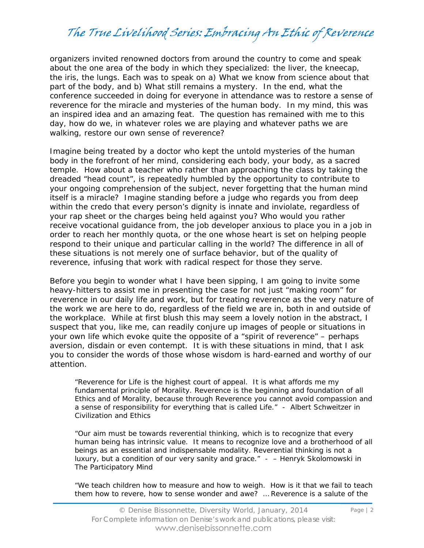organizers invited renowned doctors from around the country to come and speak about the one area of the body in which they specialized: the liver, the kneecap, the iris, the lungs. Each was to speak on a) What we know from science about that part of the body, and b) What still remains a mystery. In the end, what the conference succeeded in doing for everyone in attendance was to restore a sense of reverence for the miracle and mysteries of the human body. In my mind, this was an inspired idea and an amazing feat. The question has remained with me to this day, how do we, in whatever roles we are playing and whatever paths we are walking, restore our own sense of reverence?

Imagine being treated by a doctor who kept the untold mysteries of the human body in the forefront of her mind, considering each body, *your body*, as a sacred temple. How about a teacher who rather than approaching the class by taking the dreaded "head count", is repeatedly humbled by the opportunity to contribute to your ongoing comprehension of the subject, never forgetting that the human mind itself is a miracle? Imagine standing before a judge who regards you from deep within the credo that every person's dignity is innate and inviolate, regardless of your rap sheet or the charges being held against you? Who would you rather receive vocational guidance from, the job developer anxious to place you in a job in order to reach her monthly quota, or the one whose heart is set on helping people respond to their unique and particular calling in the world? The difference in all of these situations is not merely one of surface behavior, but of the quality of reverence, infusing that work with radical respect for those they serve.

Before you begin to wonder what I have been sipping, I am going to invite some heavy-hitters to assist me in presenting the case for not just "making room" for reverence in our daily life and work, but for treating reverence as the very *nature* of the work we are here to do, regardless of the field we are in, both in and outside of the workplace. While at first blush this may seem a lovely notion in the abstract, I suspect that you, like me, can readily conjure up images of people or situations in your own life which evoke quite the opposite of a "spirit of reverence" – perhaps aversion, disdain or even contempt. It is with these situations in mind, that I ask you to consider the words of those whose wisdom is hard-earned and worthy of our attention.

"Reverence for Life is the highest court of appeal. It is what affords me my fundamental principle of Morality. Reverence is the beginning and foundation of all Ethics and of Morality, because through Reverence you cannot avoid compassion and a sense of responsibility for everything that is called Life." - Albert Schweitzer in *Civilization and Ethics*

"Our aim must be towards reverential thinking, which is to recognize that every human being has intrinsic value. It means to recognize love and a brotherhood of all beings as an essential and indispensable modality. Reverential thinking is not a luxury, but a condition of our very sanity and grace." - – Henryk Skolomowski in *The Participatory Mind*

"We teach children how to measure and how to weigh. How is it that we fail to teach them how to revere, how to sense wonder and awe? … Reverence is a salute of the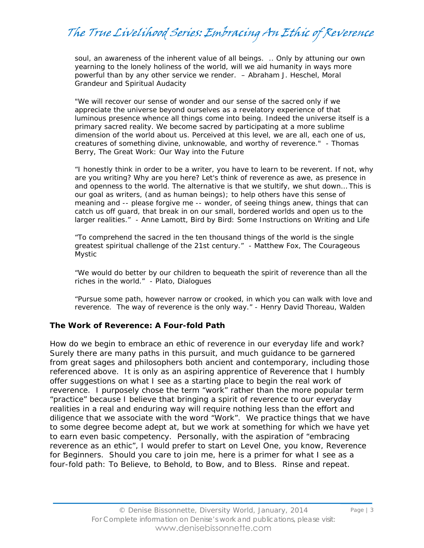soul, an awareness of the inherent value of all beings. .. Only by attuning our own yearning to the lonely holiness of the world, will we aid humanity in ways more powerful than by any other service we render. – Abraham J. Heschel, *Moral Grandeur and Spiritual Audacity*

"We will recover our sense of wonder and our sense of the sacred only if we appreciate the universe beyond ourselves as a revelatory experience of that luminous presence whence all things come into being. Indeed the universe itself is a primary sacred reality. We become sacred by participating at a more sublime dimension of the world about us. Perceived at this level, we are all, each one of us, creatures of something divine, unknowable, and worthy of reverence." - Thomas Berry, *The Great Work: Our Way into the Future*

"I honestly think in order to be a writer, you have to learn to be reverent. If not, why are you writing? Why are you here? Let's think of reverence as awe, as presence in and openness to the world. The alternative is that we stultify, we shut down… This is our goal as writers, (and as human beings); to help others have this sense of meaning and -- please forgive me -- wonder, of seeing things anew, things that can catch us off guard, that break in on our small, bordered worlds and open us to the larger realities." - Anne Lamott, *Bird by Bird: Some Instructions on Writing and Life*

"To comprehend the sacred in the ten thousand things of the world is the single greatest spiritual challenge of the 21st century." - Matthew Fox, *The Courageous Mystic*

"We would do better by our children to bequeath the spirit of reverence than all the riches in the world." - Plato, *Dialogues*

"Pursue some path, however narrow or crooked, in which you can walk with love and reverence. The way of reverence is the only way." - Henry David Thoreau, *Walden*

#### **The Work of Reverence: A Four-fold Path**

How do we begin to embrace an ethic of reverence in our everyday life and work? Surely there are many paths in this pursuit, and much guidance to be garnered from great sages and philosophers both ancient and contemporary, including those referenced above. It is only as an aspiring apprentice of Reverence that I humbly offer suggestions on what I see as a starting place to begin the real work of reverence. I purposely chose the term "work" rather than the more popular term "practice" because I believe that bringing a spirit of reverence to our everyday realities in a real and enduring way will require nothing less than the effort and diligence that we associate with the word "Work". We *practice* things that we have to some degree become adept at, but we *work* at something for which we have yet to earn even basic competency. Personally, with the aspiration of "embracing reverence as an ethic", I would prefer to start on Level One, you know, Reverence for Beginners. Should you care to join me, here is a primer for what I see as a four-fold path: To Believe, to Behold, to Bow, and to Bless. Rinse and repeat.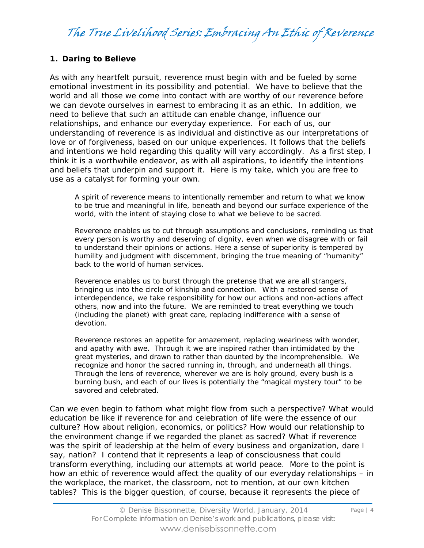### **1. Daring to Believe**

As with any heartfelt pursuit, reverence must begin with and be fueled by some emotional investment in its possibility and potential. We have to believe that the world and all those we come into contact with are worthy of our reverence before we can devote ourselves in earnest to embracing it as an ethic. In addition, we need to believe that such an attitude can enable change, influence our relationships, and enhance our everyday experience. For each of us, our understanding of reverence is as individual and distinctive as our interpretations of love or of forgiveness, based on our unique experiences. It follows that the beliefs and intentions we hold regarding this quality will vary accordingly. As a first step, I think it is a worthwhile endeavor, as with all aspirations, to identify the intentions and beliefs that underpin and support it. Here is my take, which you are free to use as a catalyst for forming your own.

A spirit of reverence means to intentionally remember and return to what we know to be true and meaningful in life, beneath and beyond our surface experience of the world, with the intent of staying close to what we believe to be sacred.

Reverence enables us to cut through assumptions and conclusions, reminding us that every person is worthy and deserving of dignity, even when we disagree with or fail to understand their opinions or actions. Here a sense of superiority is tempered by humility and judgment with discernment, bringing the true meaning of "humanity" back to the world of human services.

Reverence enables us to burst through the pretense that we are all strangers, bringing us into the circle of kinship and connection. With a restored sense of interdependence, we take responsibility for how our actions and non-actions affect others, now and into the future. We are reminded to treat everything we touch (including the planet) with great care, replacing indifference with a sense of devotion.

Reverence restores an appetite for amazement, replacing weariness with wonder, and apathy with awe. Through it we are inspired rather than intimidated by the great mysteries, and drawn to rather than daunted by the incomprehensible. We recognize and honor the sacred running in, through, and underneath all things. Through the lens of reverence, wherever we are is holy ground, every bush is a burning bush, and each of our lives is potentially the "magical mystery tour" to be savored and celebrated.

Can we even begin to fathom what might flow from such a perspective? What would education be like if reverence for and celebration of life were the essence of our culture? How about religion, economics, or politics? How would our relationship to the environment change if we regarded the planet as sacred? What if reverence was the spirit of leadership at the helm of every business and organization, dare I say, nation? I contend that it represents a leap of consciousness that could transform everything, including our attempts at world peace. More to the point is how an ethic of reverence would affect the quality of our everyday relationships – in the workplace, the market, the classroom, not to mention, at our own kitchen tables? This is the bigger question, of course, because it represents the piece of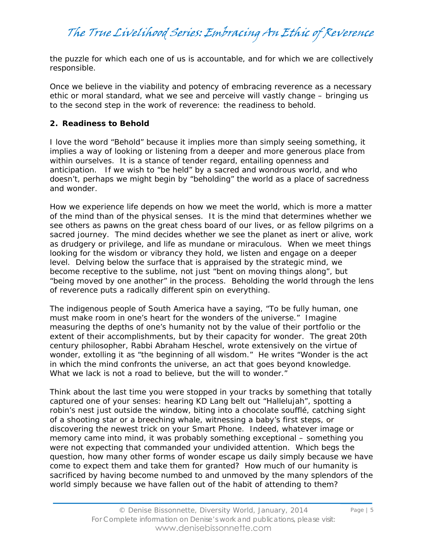the puzzle for which each one of us is accountable, and for which we are collectively responsible.

Once we believe in the viability and potency of embracing reverence as a necessary ethic or moral standard, what we see and perceive will vastly change – bringing us to the second step in the work of reverence: the readiness to behold.

### **2. Readiness to Behold**

I love the word "Behold" because it implies more than simply seeing something, it implies a way of looking or listening from a deeper and more generous place from within ourselves. It is a stance of tender regard, entailing openness and anticipation. If we wish to "be held" by a sacred and wondrous world, and who doesn't, perhaps we might begin by "beholding" the world as a place of sacredness and wonder.

How we experience life depends on how we meet the world, which is more a matter of the mind than of the physical senses. It is the mind that determines whether we see others as pawns on the great chess board of our lives, or as fellow pilgrims on a sacred journey. The mind decides whether we see the planet as inert or alive, work as drudgery or privilege, and life as mundane or miraculous. When we meet things looking for the wisdom or vibrancy they hold, we listen and engage on a deeper level. Delving below the surface that is appraised by the strategic mind, we become receptive to the sublime, not just "bent on moving things along", but "being moved by one another" in the process. Beholding the world through the lens of reverence puts a radically different spin on everything.

The indigenous people of South America have a saying, "To be fully human, one must make room in one's heart for the wonders of the universe." Imagine measuring the depths of one's humanity not by the value of their portfolio or the extent of their accomplishments, but by their capacity for wonder. The great 20th century philosopher, Rabbi Abraham Heschel, wrote extensively on the virtue of wonder, extolling it as "the beginning of all wisdom." He writes "Wonder is the act in which the mind confronts the universe, an act that goes beyond knowledge. What we lack is not a road to believe, but the will to wonder."

Think about the last time you were stopped in your tracks by something that totally captured one of your senses: hearing KD Lang belt out "Hallelujah", spotting a robin's nest just outside the window, biting into a chocolate soufflé, catching sight of a shooting star or a breeching whale, witnessing a baby's first steps, or discovering the newest trick on your Smart Phone. Indeed, whatever image or memory came into mind, it was probably something exceptional – something you were not expecting that commanded your undivided attention. Which begs the question, how many other forms of wonder escape us daily simply because we have come to expect them and take them for granted? How much of our humanity is sacrificed by having become numbed to and unmoved by the many splendors of the world simply because we have fallen out of the habit of attending to them?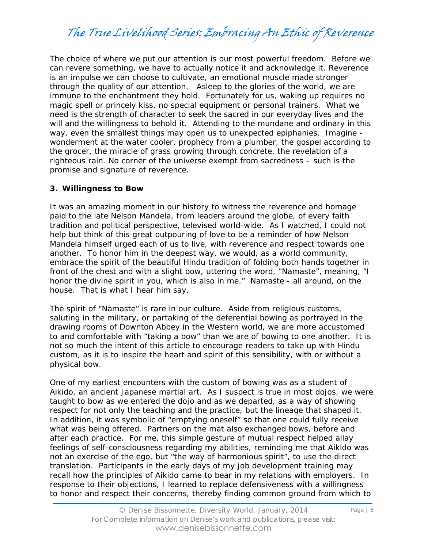The choice of where we put our attention is our most powerful freedom. Before we can revere something, we have to actually notice it and acknowledge it. Reverence is an impulse we can choose to cultivate, an emotional muscle made stronger through the quality of our attention. Asleep to the glories of the world, we are immune to the enchantment they hold. Fortunately for us, waking up requires no magic spell or princely kiss, no special equipment or personal trainers. What we need is the strength of character to seek the sacred in our everyday lives and the will and the willingness to behold it. Attending to the mundane and ordinary in this way, even the smallest things may open us to unexpected epiphanies. Imagine wonderment at the water cooler, prophecy from a plumber, the gospel according to the grocer, the miracle of grass growing through concrete, the revelation of a righteous rain. No corner of the universe exempt from sacredness – such is the promise and signature of reverence.

#### **3. Willingness to Bow**

It was an amazing moment in our history to witness the reverence and homage paid to the late Nelson Mandela, from leaders around the globe, of every faith tradition and political perspective, televised world-wide. As I watched, I could not help but think of this great outpouring of love to be a reminder of how Nelson Mandela himself urged each of us to live, with reverence and respect towards one another. To honor him in the deepest way, we would, as a world community, embrace the spirit of the beautiful Hindu tradition of folding both hands together in front of the chest and with a slight bow, uttering the word, "Namaste", meaning, "I honor the divine spirit in you, which is also in me." Namaste - all around, on the house. That is what I hear him say.

The spirit of "Namaste" is rare in our culture. Aside from religious customs, saluting in the military, or partaking of the deferential bowing as portrayed in the drawing rooms of Downton Abbey in the Western world, we are more accustomed to and comfortable with "taking a bow" than we are of bowing to one another. It is not so much the intent of this article to encourage readers to take up with Hindu custom, as it is to inspire the heart and spirit of this sensibility, with or without a physical bow.

One of my earliest encounters with the custom of bowing was as a student of Aikido, an ancient Japanese martial art. As I suspect is true in most dojos, we were taught to bow as we entered the dojo and as we departed, as a way of showing respect for not only the teaching and the practice, but the lineage that shaped it. In addition, it was symbolic of "emptying oneself" so that one could fully receive what was being offered. Partners on the mat also exchanged bows, before and after each practice. For me, this simple gesture of mutual respect helped allay feelings of self-consciousness regarding my abilities, reminding me that Aikido was not an exercise of the ego, but "the way of harmonious spirit", to use the direct translation. Participants in the early days of my job development training may recall how the principles of Aikido came to bear in my relations with employers. In response to their objections, I learned to replace defensiveness with a willingness to honor and respect their concerns, thereby finding common ground from which to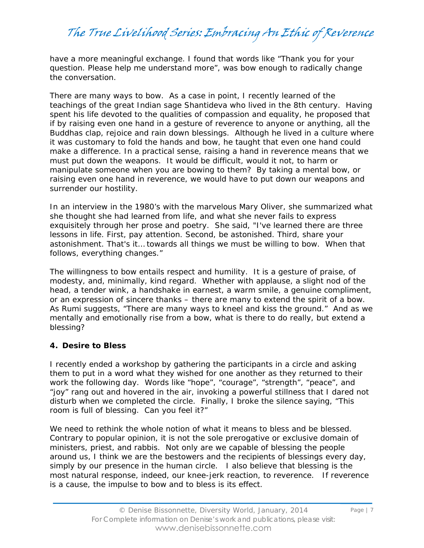have a more meaningful exchange. I found that words like "Thank you for your question. Please help me understand more", was bow enough to radically change the conversation.

There are many ways to bow. As a case in point, I recently learned of the teachings of the great Indian sage Shantideva who lived in the 8th century. Having spent his life devoted to the qualities of compassion and equality, he proposed that if by raising even one hand in a gesture of reverence to anyone or anything, all the Buddhas clap, rejoice and rain down blessings. Although he lived in a culture where it was customary to fold the hands and bow, he taught that even one hand could make a difference. In a practical sense, raising a hand in reverence means that we must put down the weapons. It would be difficult, would it not, to harm or manipulate someone when you are bowing to them? By taking a mental bow, or raising even one hand in reverence, we would have to put down our weapons and surrender our hostility.

In an interview in the 1980's with the marvelous Mary Oliver, she summarized what she thought she had learned from life, and what she never fails to express exquisitely through her prose and poetry. She said, "I've learned there are three lessons in life. First, pay attention. Second, be astonished. Third, share your astonishment. That's it… towards all things we must be willing to bow. When that follows, everything changes."

The willingness to bow entails respect and humility. It is a gesture of praise, of modesty, and, minimally, kind regard. Whether with applause, a slight nod of the head, a tender wink, a handshake in earnest, a warm smile, a genuine compliment, or an expression of sincere thanks – there are many to extend the spirit of a bow. As Rumi suggests, "There are many ways to kneel and kiss the ground." And as we mentally and emotionally rise from a bow, what is there to do really, but extend a blessing?

#### **4. Desire to Bless**

I recently ended a workshop by gathering the participants in a circle and asking them to put in a word what they wished for one another as they returned to their work the following day. Words like "hope", "courage", "strength", "peace", and "joy" rang out and hovered in the air, invoking a powerful stillness that I dared not disturb when we completed the circle. Finally, I broke the silence saying, "This room is full of blessing. Can you feel it?"

We need to rethink the whole notion of what it means to bless and be blessed. Contrary to popular opinion, it is not the sole prerogative or exclusive domain of ministers, priest, and rabbis. Not only are we capable of blessing the people around us, I think we are the bestowers and the recipients of blessings every day, simply by our presence in the human circle. I also believe that blessing is the most natural response, indeed, our knee-jerk reaction, to reverence. If reverence is a cause, the impulse to bow and to bless is its effect.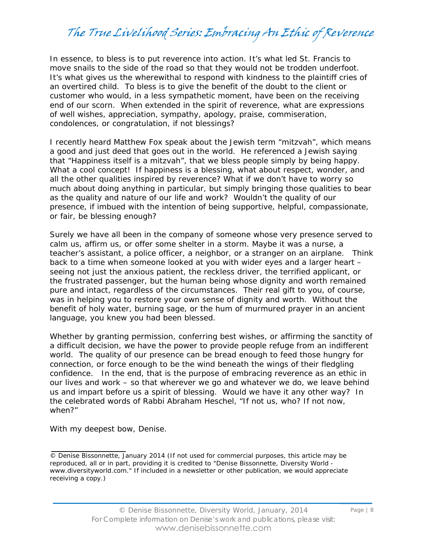In essence, to bless is to put reverence into action. It's what led St. Francis to move snails to the side of the road so that they would not be trodden underfoot. It's what gives us the wherewithal to respond with kindness to the plaintiff cries of an overtired child. To bless is to give the benefit of the doubt to the client or customer who would, in a less sympathetic moment, have been on the receiving end of our scorn. When extended in the spirit of reverence, what are expressions of well wishes, appreciation, sympathy, apology, praise, commiseration, condolences, or congratulation, if not blessings?

I recently heard Matthew Fox speak about the Jewish term "mitzvah", which means a good and just deed that goes out in the world. He referenced a Jewish saying that "Happiness itself is a mitzvah", that we bless people simply by being happy. What a cool concept! If happiness is a blessing, what about respect, wonder, and all the other qualities inspired by reverence? What if we don't have to worry so much about *doing* anything in particular, but simply bringing those qualities to bear as the quality and nature of our life and work? Wouldn't the quality of our presence, if imbued with the intention of being supportive, helpful, compassionate, or fair, be blessing enough?

Surely we have all been in the company of someone whose very presence served to calm us, affirm us, or offer some shelter in a storm. Maybe it was a nurse, a teacher's assistant, a police officer, a neighbor, or a stranger on an airplane. Think back to a time when someone looked at you with wider eyes and a larger heart – seeing not just the anxious patient, the reckless driver, the terrified applicant, or the frustrated passenger, but the human being whose dignity and worth remained pure and intact, regardless of the circumstances. Their real gift to you, of course, was in helping you to restore your own sense of dignity and worth. Without the benefit of holy water, burning sage, or the hum of murmured prayer in an ancient language, you knew you had been blessed.

Whether by granting permission, conferring best wishes, or affirming the sanctity of a difficult decision, we have the power to provide people refuge from an indifferent world. The quality of our presence can be bread enough to feed those hungry for connection, or force enough to be the wind beneath the wings of their fledgling confidence. In the end, that is the purpose of embracing reverence as an ethic in our lives and work – so that wherever we go and whatever we do, we leave behind us and impart before us a spirit of blessing. Would we have it any other way? In the celebrated words of Rabbi Abraham Heschel, "If not us, who? If not now, when?"

With my deepest bow, Denise.

<sup>©</sup> Denise Bissonnette, January 2014 (If not used for commercial purposes, this article may be reproduced, all or in part, providing it is credited to "Denise Bissonnette, Diversity World www.diversityworld.com." If included in a newsletter or other publication, we would appreciate receiving a copy.)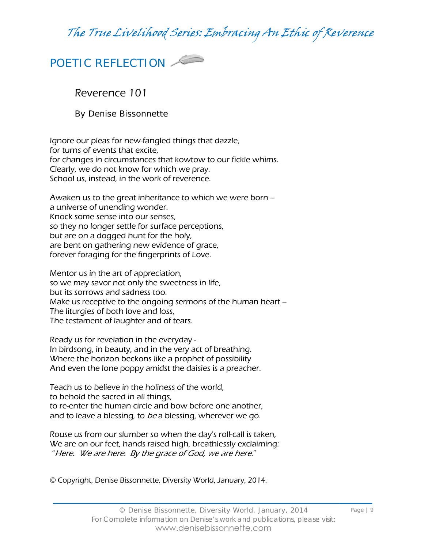

Reverence 101

By Denise Bissonnette

Ignore our pleas for new-fangled things that dazzle, for turns of events that excite, for changes in circumstances that kowtow to our fickle whims. Clearly, we do not know for which we pray. School us, instead, in the work of reverence.

Awaken us to the great inheritance to which we were born – a universe of unending wonder. Knock some sense into our senses, so they no longer settle for surface perceptions, but are on a dogged hunt for the holy, are bent on gathering new evidence of grace, forever foraging for the fingerprints of Love.

Mentor us in the art of appreciation, so we may savor not only the sweetness in life, but its sorrows and sadness too. Make us receptive to the ongoing sermons of the human heart – The liturgies of both love and loss, The testament of laughter and of tears.

Ready us for revelation in the everyday - In birdsong, in beauty, and in the very act of breathing. Where the horizon beckons like a prophet of possibility And even the lone poppy amidst the daisies is a preacher.

Teach us to believe in the holiness of the world, to behold the sacred in all things, to re-enter the human circle and bow before one another, and to leave a blessing, to be a blessing, wherever we go.

Rouse us from our slumber so when the day's roll-call is taken, We are on our feet, hands raised high, breathlessly exclaiming: "Here. We are here. By the grace of God, we are here."

© Copyright, Denise Bissonnette, Diversity World, January, 2014.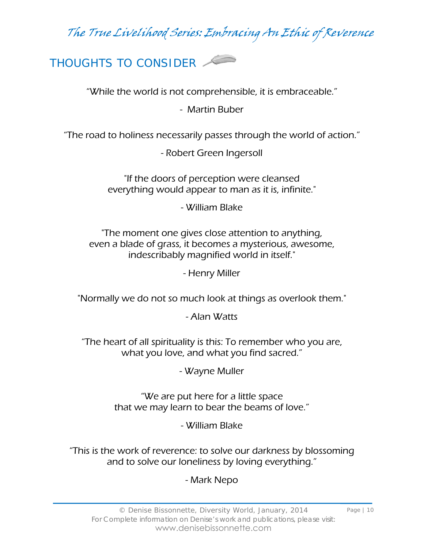THOUGHTS TO CONSIDER

"While the world is not comprehensible, it is embraceable."

- Martin Buber

"The road to holiness necessarily passes through the world of action."

- Robert Green Ingersoll

"If the doors of perception were cleansed everything would appear to man as it is, infinite."

- William Blake

"The moment one gives close attention to anything, even a blade of grass, it becomes a mysterious, awesome, indescribably magnified world in itself."

- Henry Miller

"Normally we do not so much look at things as overlook them."

- Alan Watts

"The heart of all spirituality is this: To remember who you are, what you love, and what you find sacred."

- Wayne Muller

"We are put here for a little space that we may learn to bear the beams of love."

- William Blake

"This is the work of reverence: to solve our darkness by blossoming and to solve our loneliness by loving everything."

- Mark Nepo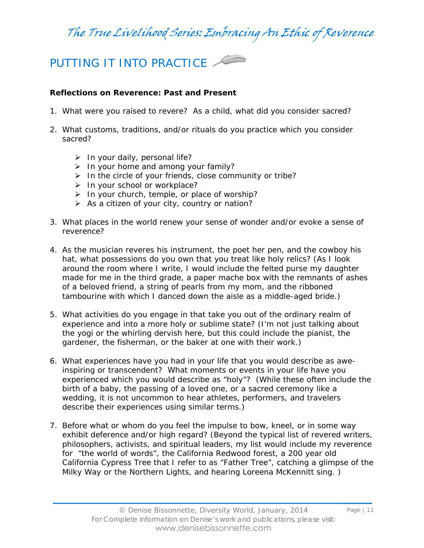### PUTTING IT INTO PRACTICE

#### **Reflections on Reverence: Past and Present**

- 1. What were you raised to revere? As a child, what did you consider sacred?
- 2. What customs, traditions, and/or rituals do you practice which you consider sacred?
	- $\triangleright$  In your daily, personal life?
	- $\triangleright$  In your home and among your family?
	- $\triangleright$  In the circle of your friends, close community or tribe?
	- $\triangleright$  In your school or workplace?
	- $\triangleright$  In your church, temple, or place of worship?
	- $\triangleright$  As a citizen of your city, country or nation?
- 3. What places in the world renew your sense of wonder and/or evoke a sense of reverence?
- 4. As the musician reveres his instrument, the poet her pen, and the cowboy his hat, what possessions do you own that you treat like holy relics? (As I look around the room where I write, I would include the felted purse my daughter made for me in the third grade, a paper mache box with the remnants of ashes of a beloved friend, a string of pearls from my mom, and the ribboned tambourine with which I danced down the aisle as a middle-aged bride.)
- 5. What activities do you engage in that take you out of the ordinary realm of experience and into a more holy or sublime state? (I'm not just talking about the yogi or the whirling dervish here, but this could include the pianist, the gardener, the fisherman, or the baker at one with their work.)
- 6. What experiences have you had in your life that you would describe as aweinspiring or transcendent? What moments or events in your life have you experienced which you would describe as "holy"? (While these often include the birth of a baby, the passing of a loved one, or a sacred ceremony like a wedding, it is not uncommon to hear athletes, performers, and travelers describe their experiences using similar terms.)
- 7. Before what or whom do you feel the impulse to bow, kneel, or in some way exhibit deference and/or high regard? (Beyond the typical list of revered writers, philosophers, activists, and spiritual leaders, my list would include my reverence for "the world of words", the California Redwood forest, a 200 year old California Cypress Tree that I refer to as "Father Tree", catching a glimpse of the Milky Way or the Northern Lights, and hearing Loreena McKennitt sing. )